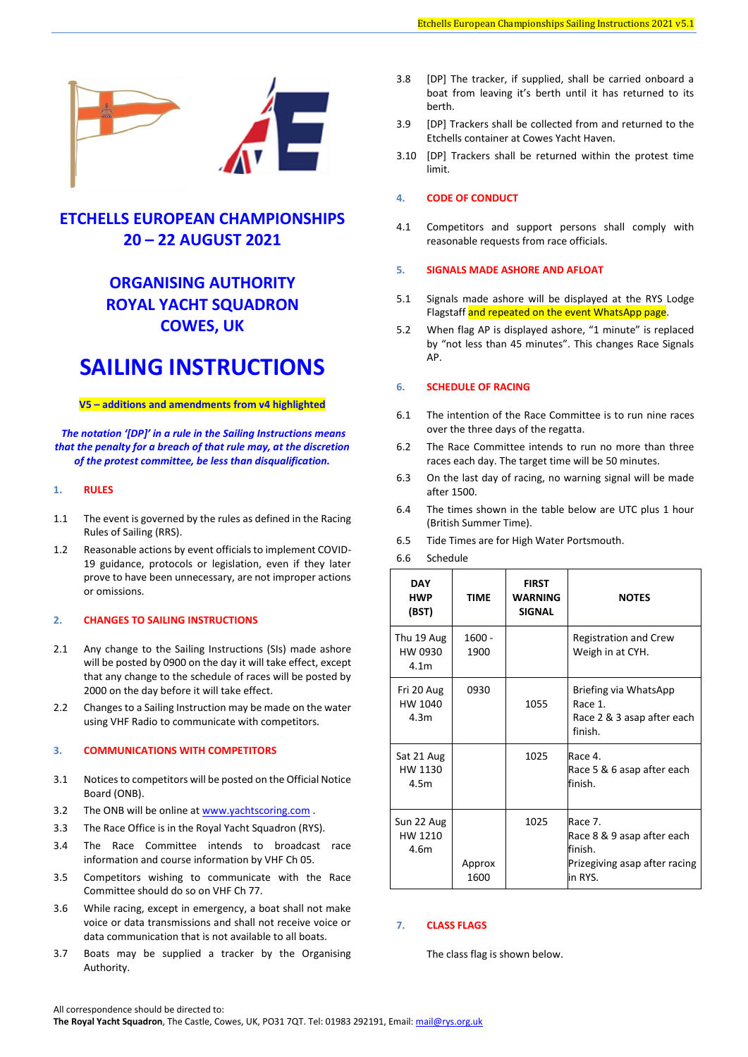

# **ETCHELLS EUROPEAN CHAMPIONSHIPS 20 – 22 AUGUST 2021**

# **ORGANISING AUTHORITY ROYAL YACHT SQUADRON COWES, UK**

# **SAILING INSTRUCTIONS**

# **V5 – additions and amendments from v4 highlighted**

*The notation '[DP]' in a rule in the Sailing Instructions means that the penalty for a breach of that rule may, at the discretion of the protest committee, be less than disqualification.*

# **1. RULES**

- 1.1 The event is governed by the rules as defined in the Racing Rules of Sailing (RRS).
- 1.2 Reasonable actions by event officials to implement COVID-19 guidance, protocols or legislation, even if they later prove to have been unnecessary, are not improper actions or omissions.

# **2. CHANGES TO SAILING INSTRUCTIONS**

- 2.1 Any change to the Sailing Instructions (SIs) made ashore will be posted by 0900 on the day it will take effect, except that any change to the schedule of races will be posted by 2000 on the day before it will take effect.
- 2.2 Changes to a Sailing Instruction may be made on the water using VHF Radio to communicate with competitors.

# **3. COMMUNICATIONS WITH COMPETITORS**

- 3.1 Notices to competitors will be posted on the Official Notice Board (ONB).
- 3.2 The ONB will be online at [www.yachtscoring.com](https://www.yachtscoring.com/select_event.cfm?region=Europe%20-%20UK) .
- 3.3 The Race Office is in the Royal Yacht Squadron (RYS).
- 3.4 The Race Committee intends to broadcast race information and course information by VHF Ch 05.
- 3.5 Competitors wishing to communicate with the Race Committee should do so on VHF Ch 77.
- 3.6 While racing, except in emergency, a boat shall not make voice or data transmissions and shall not receive voice or data communication that is not available to all boats.
- 3.7 Boats may be supplied a tracker by the Organising Authority.
- 3.8 [DP] The tracker, if supplied, shall be carried onboard a boat from leaving it's berth until it has returned to its berth.
- 3.9 [DP] Trackers shall be collected from and returned to the Etchells container at Cowes Yacht Haven.
- 3.10 [DP] Trackers shall be returned within the protest time limit.

# **4. CODE OF CONDUCT**

4.1 Competitors and support persons shall comply with reasonable requests from race officials.

# **5. SIGNALS MADE ASHORE AND AFLOAT**

- 5.1 Signals made ashore will be displayed at the RYS Lodge Flagstaff and repeated on the event WhatsApp page.
- 5.2 When flag AP is displayed ashore, "1 minute" is replaced by "not less than 45 minutes". This changes Race Signals AP.

#### **6. SCHEDULE OF RACING**

- 6.1 The intention of the Race Committee is to run nine races over the three days of the regatta.
- 6.2 The Race Committee intends to run no more than three races each day. The target time will be 50 minutes.
- 6.3 On the last day of racing, no warning signal will be made after 1500.
- 6.4 The times shown in the table below are UTC plus 1 hour (British Summer Time).
- 6.5 Tide Times are for High Water Portsmouth.

#### 6.6 Schedule

| <b>DAY</b><br><b>HWP</b><br>(BST)         | TIME             | <b>FIRST</b><br>WARNING<br><b>SIGNAL</b> | <b>NOTES</b>                                                                                 |
|-------------------------------------------|------------------|------------------------------------------|----------------------------------------------------------------------------------------------|
| Thu 19 Aug<br>HW 0930<br>4.1 <sub>m</sub> | $1600 -$<br>1900 |                                          | <b>Registration and Crew</b><br>Weigh in at CYH.                                             |
| Fri 20 Aug<br>HW 1040<br>4.3 <sub>m</sub> | 0930             | 1055                                     | Briefing via WhatsApp<br>Race 1.<br>Race 2 & 3 asap after each<br>finish.                    |
| Sat 21 Aug<br>HW 1130<br>4.5m             |                  | 1025                                     | Race 4.<br>Race 5 & 6 asap after each<br>finish.                                             |
| Sun 22 Aug<br>HW 1210<br>4.6m             | Approx<br>1600   | 1025                                     | Race 7.<br>Race 8 & 9 asap after each<br>finish.<br>Prizegiving asap after racing<br>in RYS. |

# **7. CLASS FLAGS**

The class flag is shown below.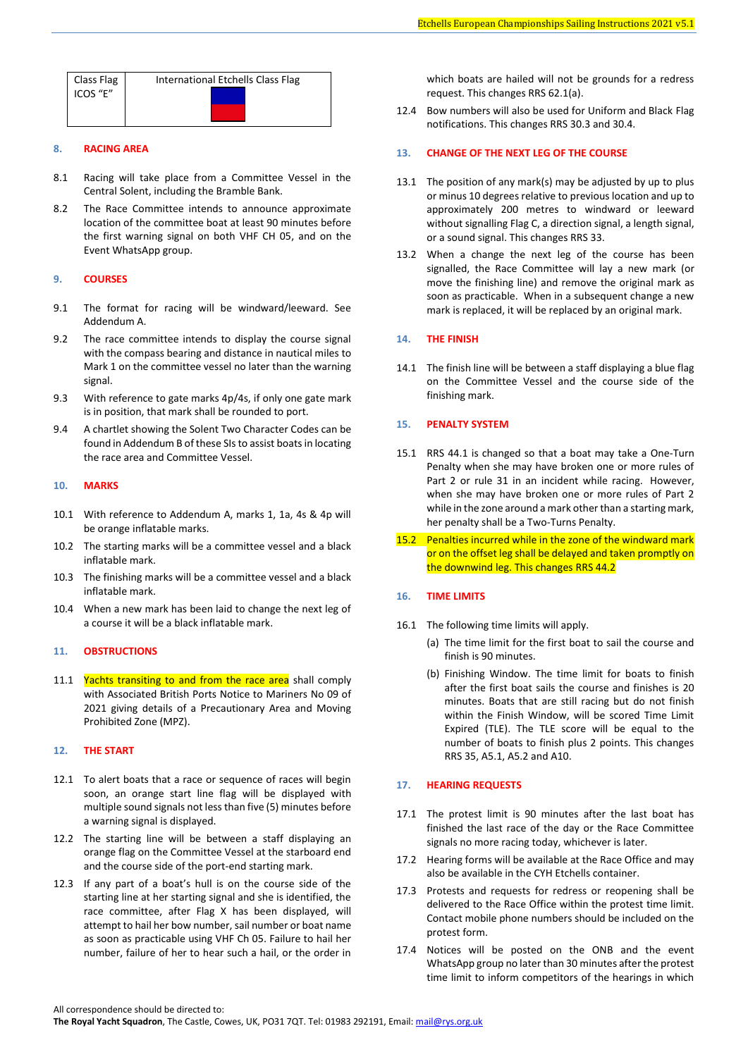| Class Flag | International Etchells Class Flag |  |  |
|------------|-----------------------------------|--|--|
| ICOS "E"   |                                   |  |  |
|            |                                   |  |  |

# **8. RACING AREA**

- 8.1 Racing will take place from a Committee Vessel in the Central Solent, including the Bramble Bank.
- 8.2 The Race Committee intends to announce approximate location of the committee boat at least 90 minutes before the first warning signal on both VHF CH 05, and on the Event WhatsApp group.

#### **9. COURSES**

- 9.1 The format for racing will be windward/leeward. See Addendum A.
- 9.2 The race committee intends to display the course signal with the compass bearing and distance in nautical miles to Mark 1 on the committee vessel no later than the warning signal.
- 9.3 With reference to gate marks 4p/4s, if only one gate mark is in position, that mark shall be rounded to port.
- 9.4 A chartlet showing the Solent Two Character Codes can be found in Addendum B of these SIsto assist boats in locating the race area and Committee Vessel.

## **10. MARKS**

- 10.1 With reference to Addendum A, marks 1, 1a, 4s & 4p will be orange inflatable marks.
- 10.2 The starting marks will be a committee vessel and a black inflatable mark.
- 10.3 The finishing marks will be a committee vessel and a black inflatable mark.
- 10.4 When a new mark has been laid to change the next leg of a course it will be a black inflatable mark.

#### **11. OBSTRUCTIONS**

11.1 Yachts transiting to and from the race area shall comply with Associated British Ports Notice to Mariners No 09 of 2021 giving details of a Precautionary Area and Moving Prohibited Zone (MPZ).

# **12. THE START**

- 12.1 To alert boats that a race or sequence of races will begin soon, an orange start line flag will be displayed with multiple sound signals not less than five (5) minutes before a warning signal is displayed.
- 12.2 The starting line will be between a staff displaying an orange flag on the Committee Vessel at the starboard end and the course side of the port-end starting mark.
- 12.3 If any part of a boat's hull is on the course side of the starting line at her starting signal and she is identified, the race committee, after Flag X has been displayed, will attempt to hail her bow number, sail number or boat name as soon as practicable using VHF Ch 05. Failure to hail her number, failure of her to hear such a hail, or the order in

which boats are hailed will not be grounds for a redress request. This changes RRS 62.1(a).

12.4 Bow numbers will also be used for Uniform and Black Flag notifications. This changes RRS 30.3 and 30.4.

# **13. CHANGE OF THE NEXT LEG OF THE COURSE**

- 13.1 The position of any mark(s) may be adjusted by up to plus or minus 10 degrees relative to previous location and up to approximately 200 metres to windward or leeward without signalling Flag C, a direction signal, a length signal, or a sound signal. This changes RRS 33.
- 13.2 When a change the next leg of the course has been signalled, the Race Committee will lay a new mark (or move the finishing line) and remove the original mark as soon as practicable. When in a subsequent change a new mark is replaced, it will be replaced by an original mark.

# **14. THE FINISH**

14.1 The finish line will be between a staff displaying a blue flag on the Committee Vessel and the course side of the finishing mark.

# **15. PENALTY SYSTEM**

- 15.1 RRS 44.1 is changed so that a boat may take a One-Turn Penalty when she may have broken one or more rules of Part 2 or rule 31 in an incident while racing. However, when she may have broken one or more rules of Part 2 while in the zone around a mark other than a starting mark, her penalty shall be a Two-Turns Penalty.
- 15.2 Penalties incurred while in the zone of the windward mark or on the offset leg shall be delayed and taken promptly on the downwind leg. This changes RRS 44.2

#### **16. TIME LIMITS**

- 16.1 The following time limits will apply.
	- (a) The time limit for the first boat to sail the course and finish is 90 minutes.
	- (b) Finishing Window. The time limit for boats to finish after the first boat sails the course and finishes is 20 minutes. Boats that are still racing but do not finish within the Finish Window, will be scored Time Limit Expired (TLE). The TLE score will be equal to the number of boats to finish plus 2 points. This changes RRS 35, A5.1, A5.2 and A10.

### **17. HEARING REQUESTS**

- 17.1 The protest limit is 90 minutes after the last boat has finished the last race of the day or the Race Committee signals no more racing today, whichever is later.
- 17.2 Hearing forms will be available at the Race Office and may also be available in the CYH Etchells container.
- 17.3 Protests and requests for redress or reopening shall be delivered to the Race Office within the protest time limit. Contact mobile phone numbers should be included on the protest form.
- 17.4 Notices will be posted on the ONB and the event WhatsApp group no later than 30 minutes after the protest time limit to inform competitors of the hearings in which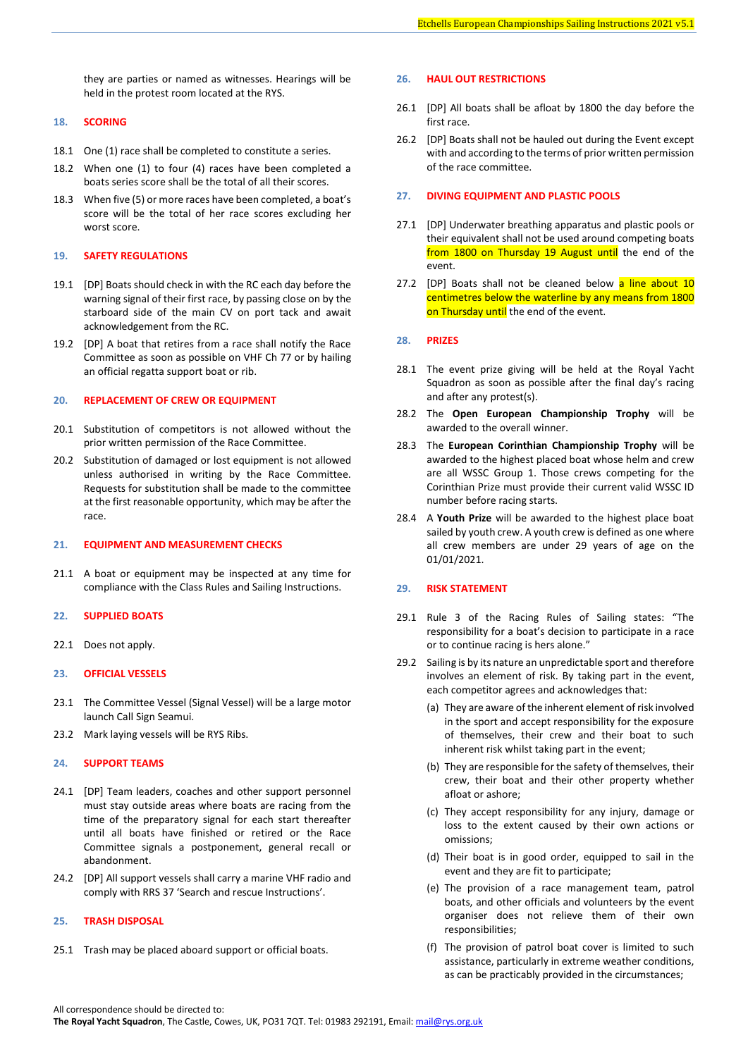they are parties or named as witnesses. Hearings will be held in the protest room located at the RYS.

#### **18. SCORING**

- 18.1 One (1) race shall be completed to constitute a series.
- 18.2 When one (1) to four (4) races have been completed a boats series score shall be the total of all their scores.
- 18.3 When five (5) or more races have been completed, a boat's score will be the total of her race scores excluding her worst score.

#### **19. SAFETY REGULATIONS**

- 19.1 [DP] Boats should check in with the RC each day before the warning signal of their first race, by passing close on by the starboard side of the main CV on port tack and await acknowledgement from the RC.
- 19.2 [DP] A boat that retires from a race shall notify the Race Committee as soon as possible on VHF Ch 77 or by hailing an official regatta support boat or rib.

#### **20. REPLACEMENT OF CREW OR EQUIPMENT**

- 20.1 Substitution of competitors is not allowed without the prior written permission of the Race Committee.
- 20.2 Substitution of damaged or lost equipment is not allowed unless authorised in writing by the Race Committee. Requests for substitution shall be made to the committee at the first reasonable opportunity, which may be after the race.

#### **21. EQUIPMENT AND MEASUREMENT CHECKS**

21.1 A boat or equipment may be inspected at any time for compliance with the Class Rules and Sailing Instructions.

# **22. SUPPLIED BOATS**

22.1 Does not apply.

# **23. OFFICIAL VESSELS**

- 23.1 The Committee Vessel (Signal Vessel) will be a large motor launch Call Sign Seamui.
- 23.2 Mark laying vessels will be RYS Ribs.

#### **24. SUPPORT TEAMS**

- 24.1 [DP] Team leaders, coaches and other support personnel must stay outside areas where boats are racing from the time of the preparatory signal for each start thereafter until all boats have finished or retired or the Race Committee signals a postponement, general recall or abandonment.
- 24.2 [DP] All support vessels shall carry a marine VHF radio and comply with RRS 37 'Search and rescue Instructions'.

#### **25. TRASH DISPOSAL**

25.1 Trash may be placed aboard support or official boats.

# **26. HAUL OUT RESTRICTIONS**

- 26.1 [DP] All boats shall be afloat by 1800 the day before the first race.
- 26.2 [DP] Boats shall not be hauled out during the Event except with and according to the terms of prior written permission of the race committee.

#### **27. DIVING EQUIPMENT AND PLASTIC POOLS**

- 27.1 [DP] Underwater breathing apparatus and plastic pools or their equivalent shall not be used around competing boats from 1800 on Thursday 19 August until the end of the event.
- 27.2 [DP] Boats shall not be cleaned below a line about 10 centimetres below the waterline by any means from 1800 on Thursday until the end of the event.

# **28. PRIZES**

- 28.1 The event prize giving will be held at the Royal Yacht Squadron as soon as possible after the final day's racing and after any protest(s).
- 28.2 The **Open European Championship Trophy** will be awarded to the overall winner.
- 28.3 The **European Corinthian Championship Trophy** will be awarded to the highest placed boat whose helm and crew are all WSSC Group 1. Those crews competing for the Corinthian Prize must provide their current valid WSSC ID number before racing starts.
- 28.4 A **Youth Prize** will be awarded to the highest place boat sailed by youth crew. A youth crew is defined as one where all crew members are under 29 years of age on the 01/01/2021.

#### **29. RISK STATEMENT**

- 29.1 Rule 3 of the Racing Rules of Sailing states: "The responsibility for a boat's decision to participate in a race or to continue racing is hers alone."
- 29.2 Sailing is by its nature an unpredictable sport and therefore involves an element of risk. By taking part in the event, each competitor agrees and acknowledges that:
	- (a) They are aware of the inherent element of risk involved in the sport and accept responsibility for the exposure of themselves, their crew and their boat to such inherent risk whilst taking part in the event;
	- (b) They are responsible for the safety of themselves, their crew, their boat and their other property whether afloat or ashore;
	- (c) They accept responsibility for any injury, damage or loss to the extent caused by their own actions or omissions;
	- (d) Their boat is in good order, equipped to sail in the event and they are fit to participate;
	- (e) The provision of a race management team, patrol boats, and other officials and volunteers by the event organiser does not relieve them of their own responsibilities;
	- (f) The provision of patrol boat cover is limited to such assistance, particularly in extreme weather conditions, as can be practicably provided in the circumstances;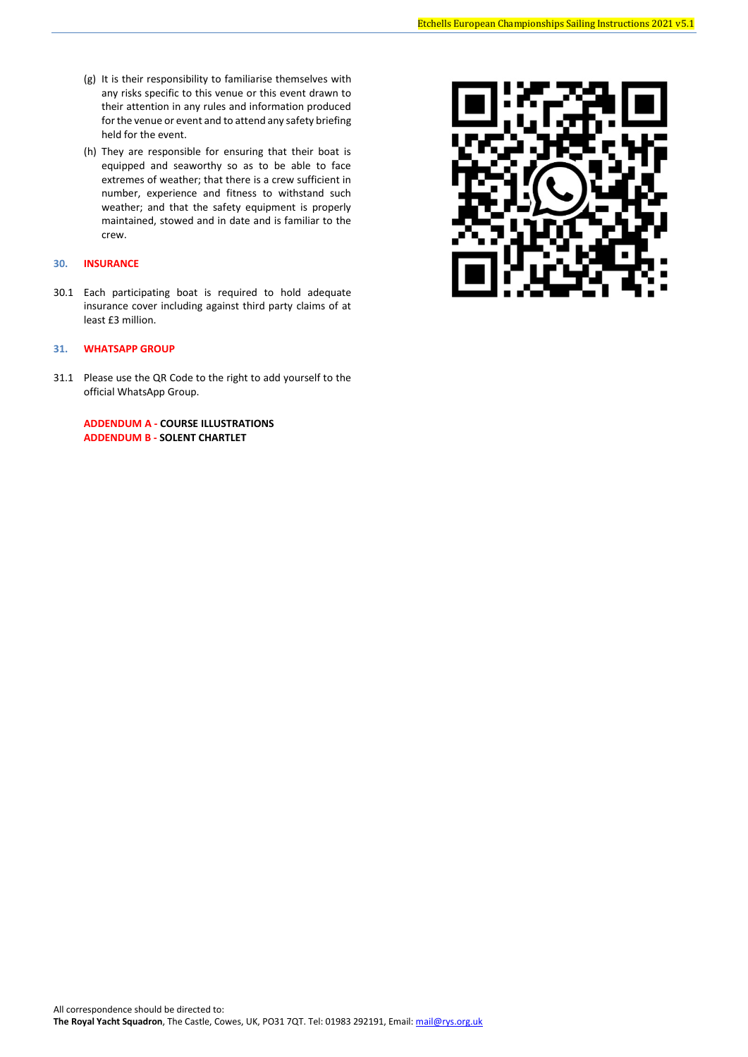- (g) It is their responsibility to familiarise themselves with any risks specific to this venue or this event drawn to their attention in any rules and information produced for the venue or event and to attend any safety briefing held for the event.
- (h) They are responsible for ensuring that their boat is equipped and seaworthy so as to be able to face extremes of weather; that there is a crew sufficient in number, experience and fitness to withstand such weather; and that the safety equipment is properly maintained, stowed and in date and is familiar to the crew.

# **30. INSURANCE**

30.1 Each participating boat is required to hold adequate insurance cover including against third party claims of at least £3 million.

# **31. WHATSAPP GROUP**

31.1 Please use the QR Code to the right to add yourself to the official WhatsApp Group.

**ADDENDUM A - COURSE ILLUSTRATIONS ADDENDUM B - SOLENT CHARTLET**

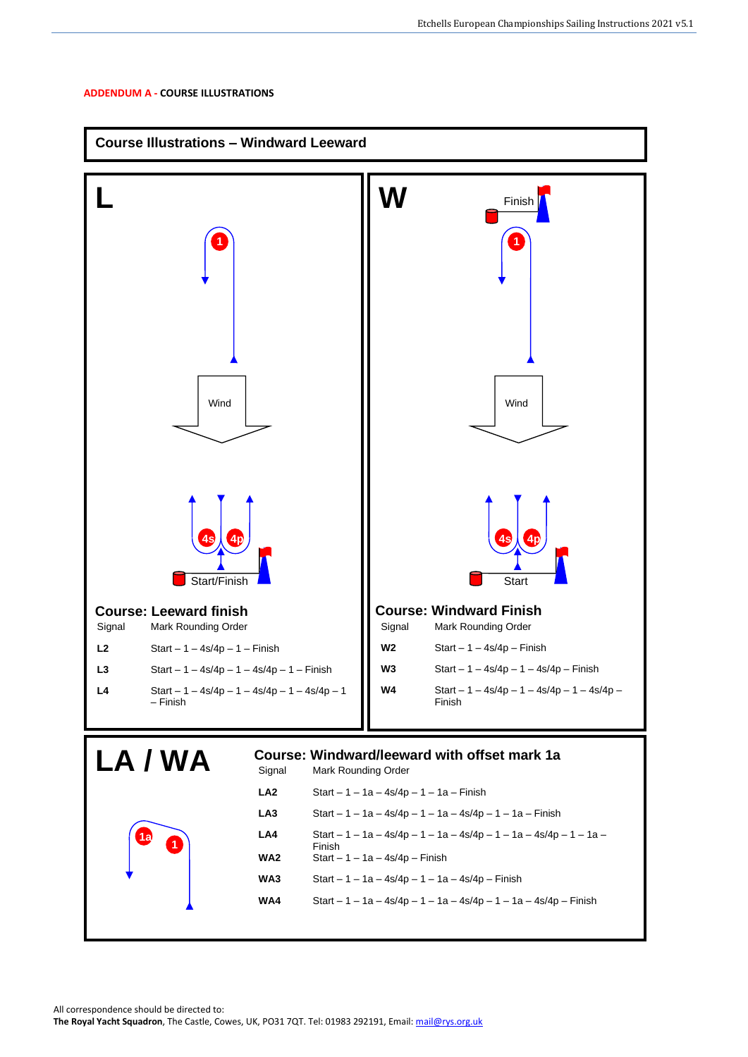# **ADDENDUM A - COURSE ILLUSTRATIONS**